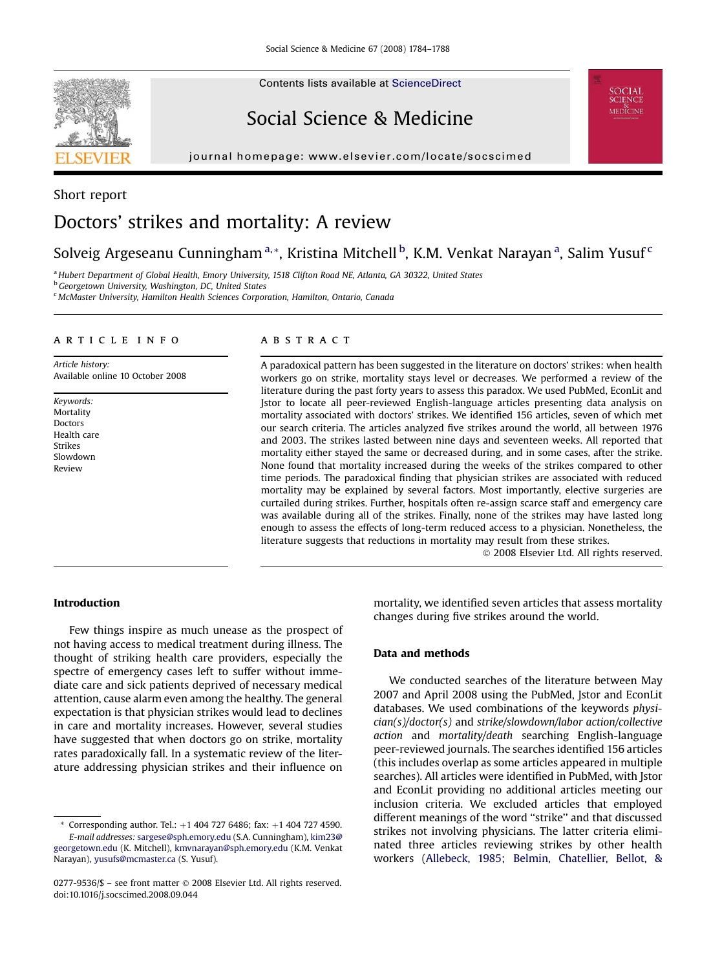Contents lists available at [ScienceDirect](www.sciencedirect.com/science/journal/02779536)



Short report

## Social Science & Medicine

journal homepage: [www.elsevier.com/locate/socscimed](http://www.elsevier.com/locate/socscimed)

# Doctors' strikes and mortality: A review

### Solveig Argeseanu Cunningham<sup>a,</sup>\*, Kristina Mitchell <sup>b</sup>, K.M. Venkat Narayan <sup>a</sup>, Salim Yusuf <sup>c</sup>

<sup>a</sup> Hubert Department of Global Health, Emory University, 1518 Clifton Road NE, Atlanta, GA 30322, United States

<sup>b</sup> Georgetown University, Washington, DC, United States

<sup>c</sup> McMaster University, Hamilton Health Sciences Corporation, Hamilton, Ontario, Canada

#### article info

Article history: Available online 10 October 2008

Keywords: **Mortality** Doctors Health care Strikes Slowdown Review

#### **ABSTRACT**

A paradoxical pattern has been suggested in the literature on doctors' strikes: when health workers go on strike, mortality stays level or decreases. We performed a review of the literature during the past forty years to assess this paradox. We used PubMed, EconLit and Jstor to locate all peer-reviewed English-language articles presenting data analysis on mortality associated with doctors' strikes. We identified 156 articles, seven of which met our search criteria. The articles analyzed five strikes around the world, all between 1976 and 2003. The strikes lasted between nine days and seventeen weeks. All reported that mortality either stayed the same or decreased during, and in some cases, after the strike. None found that mortality increased during the weeks of the strikes compared to other time periods. The paradoxical finding that physician strikes are associated with reduced mortality may be explained by several factors. Most importantly, elective surgeries are curtailed during strikes. Further, hospitals often re-assign scarce staff and emergency care was available during all of the strikes. Finally, none of the strikes may have lasted long enough to assess the effects of long-term reduced access to a physician. Nonetheless, the literature suggests that reductions in mortality may result from these strikes.

- 2008 Elsevier Ltd. All rights reserved.

**SOCIAL**<br>SCIENCE **MEDICINE** 

#### Introduction

Few things inspire as much unease as the prospect of not having access to medical treatment during illness. The thought of striking health care providers, especially the spectre of emergency cases left to suffer without immediate care and sick patients deprived of necessary medical attention, cause alarm even among the healthy. The general expectation is that physician strikes would lead to declines in care and mortality increases. However, several studies have suggested that when doctors go on strike, mortality rates paradoxically fall. In a systematic review of the literature addressing physician strikes and their influence on

\* Corresponding author. Tel.:  $+1$  404 727 6486; fax:  $+1$  404 727 4590. E-mail addresses: [sargese@sph.emory.edu](mailto:sargese@sph.emory.edu) (S.A. Cunningham), [kim23@](mailto:kim23@georgetown.edu) [georgetown.edu](mailto:kim23@georgetown.edu) (K. Mitchell), [kmvnarayan@sph.emory.edu](mailto:kmvnarayan@sph.emory.edu) (K.M. Venkat Narayan), [yusufs@mcmaster.ca](mailto:yusufs@mcmaster.ca) (S. Yusuf).

mortality, we identified seven articles that assess mortality changes during five strikes around the world.

#### Data and methods

We conducted searches of the literature between May 2007 and April 2008 using the PubMed, Jstor and EconLit databases. We used combinations of the keywords physician(s)/doctor(s) and strike/slowdown/labor action/collective action and mortality/death searching English-language peer-reviewed journals. The searches identified 156 articles (this includes overlap as some articles appeared in multiple searches). All articles were identified in PubMed, with Jstor and EconLit providing no additional articles meeting our inclusion criteria. We excluded articles that employed different meanings of the word ''strike'' and that discussed strikes not involving physicians. The latter criteria eliminated three articles reviewing strikes by other health workers [\(Allebeck, 1985; Belmin, Chatellier, Bellot, &](#page-4-0)

<sup>0277-9536/\$ –</sup> see front matter © 2008 Elsevier Ltd. All rights reserved. doi:10.1016/j.socscimed.2008.09.044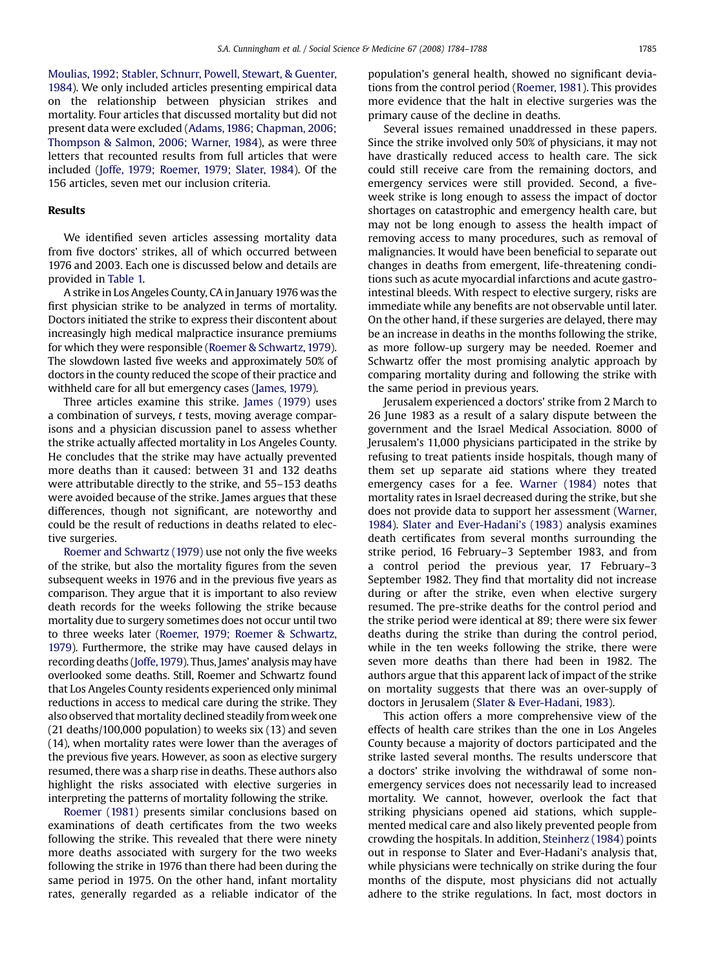[Moulias, 1992; Stabler, Schnurr, Powell, Stewart, & Guenter,](#page-4-0) [1984](#page-4-0)). We only included articles presenting empirical data on the relationship between physician strikes and mortality. Four articles that discussed mortality but did not present data were excluded [\(Adams, 1986; Chapman, 2006;](#page-4-0) [Thompson & Salmon, 2006; Warner, 1984\)](#page-4-0), as were three letters that recounted results from full articles that were included [\(Joffe, 1979; Roemer, 1979; Slater, 1984](#page-4-0)). Of the 156 articles, seven met our inclusion criteria.

#### Results

We identified seven articles assessing mortality data from five doctors' strikes, all of which occurred between 1976 and 2003. Each one is discussed below and details are provided in [Table 1.](#page-2-0)

A strike in Los Angeles County, CA in January 1976 was the first physician strike to be analyzed in terms of mortality. Doctors initiated the strike to express their discontent about increasingly high medical malpractice insurance premiums for which they were responsible [\(Roemer & Schwartz, 1979](#page-4-0)). The slowdown lasted five weeks and approximately 50% of doctors in the county reduced the scope of their practice and withheld care for all but emergency cases ([James, 1979](#page-4-0)).

Three articles examine this strike. [James \(1979\)](#page-4-0) uses a combination of surveys, t tests, moving average comparisons and a physician discussion panel to assess whether the strike actually affected mortality in Los Angeles County. He concludes that the strike may have actually prevented more deaths than it caused: between 31 and 132 deaths were attributable directly to the strike, and 55–153 deaths were avoided because of the strike. James argues that these differences, though not significant, are noteworthy and could be the result of reductions in deaths related to elective surgeries.

[Roemer and Schwartz \(1979\)](#page-4-0) use not only the five weeks of the strike, but also the mortality figures from the seven subsequent weeks in 1976 and in the previous five years as comparison. They argue that it is important to also review death records for the weeks following the strike because mortality due to surgery sometimes does not occur until two to three weeks later [\(Roemer, 1979; Roemer & Schwartz,](#page-4-0) [1979\)](#page-4-0). Furthermore, the strike may have caused delays in recording deaths ([Joffe,1979\)](#page-4-0). Thus, James' analysis may have overlooked some deaths. Still, Roemer and Schwartz found that Los Angeles County residents experienced only minimal reductions in access to medical care during the strike. They also observed that mortality declined steadily fromweek one (21 deaths/100,000 population) to weeks six (13) and seven (14), when mortality rates were lower than the averages of the previous five years. However, as soon as elective surgery resumed, there was a sharp rise in deaths. These authors also highlight the risks associated with elective surgeries in interpreting the patterns of mortality following the strike.

[Roemer \(1981\)](#page-4-0) presents similar conclusions based on examinations of death certificates from the two weeks following the strike. This revealed that there were ninety more deaths associated with surgery for the two weeks following the strike in 1976 than there had been during the same period in 1975. On the other hand, infant mortality rates, generally regarded as a reliable indicator of the population's general health, showed no significant deviations from the control period ([Roemer, 1981](#page-4-0)). This provides more evidence that the halt in elective surgeries was the primary cause of the decline in deaths.

Several issues remained unaddressed in these papers. Since the strike involved only 50% of physicians, it may not have drastically reduced access to health care. The sick could still receive care from the remaining doctors, and emergency services were still provided. Second, a fiveweek strike is long enough to assess the impact of doctor shortages on catastrophic and emergency health care, but may not be long enough to assess the health impact of removing access to many procedures, such as removal of malignancies. It would have been beneficial to separate out changes in deaths from emergent, life-threatening conditions such as acute myocardial infarctions and acute gastrointestinal bleeds. With respect to elective surgery, risks are immediate while any benefits are not observable until later. On the other hand, if these surgeries are delayed, there may be an increase in deaths in the months following the strike, as more follow-up surgery may be needed. Roemer and Schwartz offer the most promising analytic approach by comparing mortality during and following the strike with the same period in previous years.

Jerusalem experienced a doctors' strike from 2 March to 26 June 1983 as a result of a salary dispute between the government and the Israel Medical Association. 8000 of Jerusalem's 11,000 physicians participated in the strike by refusing to treat patients inside hospitals, though many of them set up separate aid stations where they treated emergency cases for a fee. [Warner \(1984\)](#page-4-0) notes that mortality rates in Israel decreased during the strike, but she does not provide data to support her assessment [\(Warner,](#page-4-0) [1984](#page-4-0)). [Slater and Ever-Hadani's \(1983\)](#page-4-0) analysis examines death certificates from several months surrounding the strike period, 16 February–3 September 1983, and from a control period the previous year, 17 February–3 September 1982. They find that mortality did not increase during or after the strike, even when elective surgery resumed. The pre-strike deaths for the control period and the strike period were identical at 89; there were six fewer deaths during the strike than during the control period, while in the ten weeks following the strike, there were seven more deaths than there had been in 1982. The authors argue that this apparent lack of impact of the strike on mortality suggests that there was an over-supply of doctors in Jerusalem [\(Slater & Ever-Hadani, 1983](#page-4-0)).

This action offers a more comprehensive view of the effects of health care strikes than the one in Los Angeles County because a majority of doctors participated and the strike lasted several months. The results underscore that a doctors' strike involving the withdrawal of some nonemergency services does not necessarily lead to increased mortality. We cannot, however, overlook the fact that striking physicians opened aid stations, which supplemented medical care and also likely prevented people from crowding the hospitals. In addition, [Steinherz \(1984\)](#page-4-0) points out in response to Slater and Ever-Hadani's analysis that, while physicians were technically on strike during the four months of the dispute, most physicians did not actually adhere to the strike regulations. In fact, most doctors in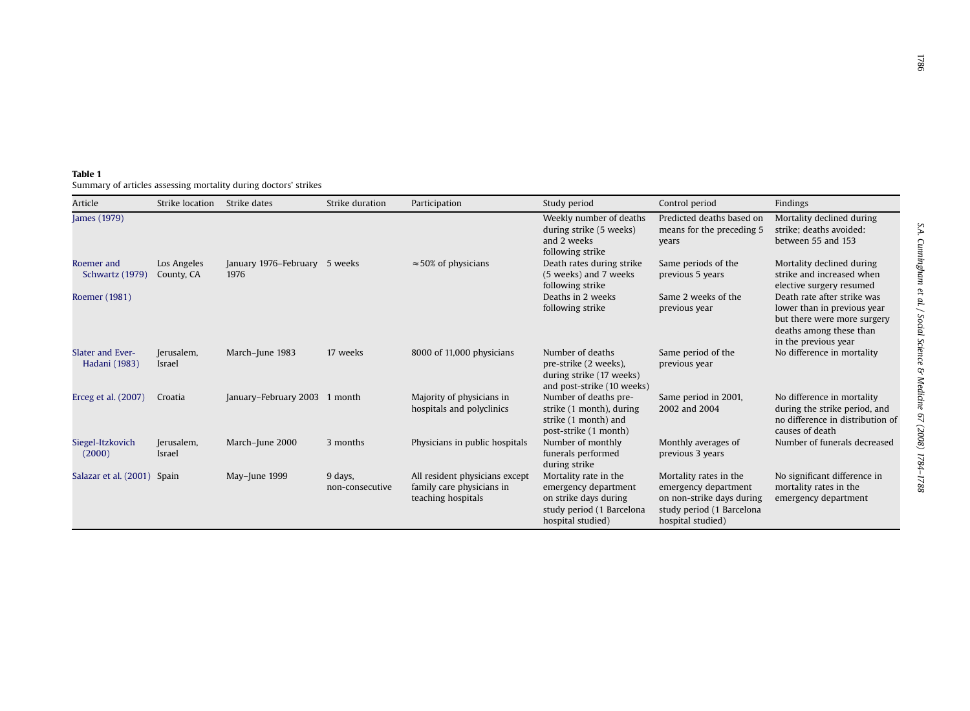<span id="page-2-0"></span>Summary of articles assessing mortality during doctors' strikes

| Article                           | Strike location           | Strike dates                          | Strike duration            | Participation                                                                     | Study period                                                                                                             | Control period                                                                                                                | Findings                                                                                                                                     |
|-----------------------------------|---------------------------|---------------------------------------|----------------------------|-----------------------------------------------------------------------------------|--------------------------------------------------------------------------------------------------------------------------|-------------------------------------------------------------------------------------------------------------------------------|----------------------------------------------------------------------------------------------------------------------------------------------|
| James (1979)                      |                           |                                       |                            |                                                                                   | Weekly number of deaths<br>during strike (5 weeks)<br>and 2 weeks<br>following strike                                    | Predicted deaths based on<br>means for the preceding 5<br>years                                                               | Mortality declined during<br>strike: deaths avoided:<br>between 55 and 153                                                                   |
| Roemer and<br>Schwartz (1979)     | Los Angeles<br>County, CA | January 1976–February 5 weeks<br>1976 |                            | $\approx$ 50% of physicians                                                       | Death rates during strike<br>(5 weeks) and 7 weeks<br>following strike                                                   | Same periods of the<br>previous 5 years                                                                                       | Mortality declined during<br>strike and increased when<br>elective surgery resumed                                                           |
| Roemer (1981)                     |                           |                                       |                            |                                                                                   | Deaths in 2 weeks<br>following strike                                                                                    | Same 2 weeks of the<br>previous year                                                                                          | Death rate after strike was<br>lower than in previous year<br>but there were more surgery<br>deaths among these than<br>in the previous year |
| Slater and Ever-<br>Hadani (1983) | Jerusalem,<br>Israel      | March-June 1983                       | 17 weeks                   | 8000 of 11,000 physicians                                                         | Number of deaths<br>pre-strike (2 weeks),<br>during strike (17 weeks)<br>and post-strike (10 weeks)                      | Same period of the<br>previous year                                                                                           | No difference in mortality                                                                                                                   |
| Erceg et al. (2007)               | Croatia                   | January-February 2003 1 month         |                            | Majority of physicians in<br>hospitals and polyclinics                            | Number of deaths pre-<br>strike (1 month), during<br>strike (1 month) and<br>post-strike (1 month)                       | Same period in 2001,<br>2002 and 2004                                                                                         | No difference in mortality<br>during the strike period, and<br>no difference in distribution of<br>causes of death                           |
| Siegel-Itzkovich<br>(2000)        | Jerusalem,<br>Israel      | March-June 2000                       | 3 months                   | Physicians in public hospitals                                                    | Number of monthly<br>funerals performed<br>during strike                                                                 | Monthly averages of<br>previous 3 years                                                                                       | Number of funerals decreased                                                                                                                 |
| Salazar et al. (2001)             | Spain                     | May-June 1999                         | 9 days,<br>non-consecutive | All resident physicians except<br>family care physicians in<br>teaching hospitals | Mortality rate in the<br>emergency department<br>on strike days during<br>study period (1 Barcelona<br>hospital studied) | Mortality rates in the<br>emergency department<br>on non-strike days during<br>study period (1 Barcelona<br>hospital studied) | No significant difference in<br>mortality rates in the<br>emergency department                                                               |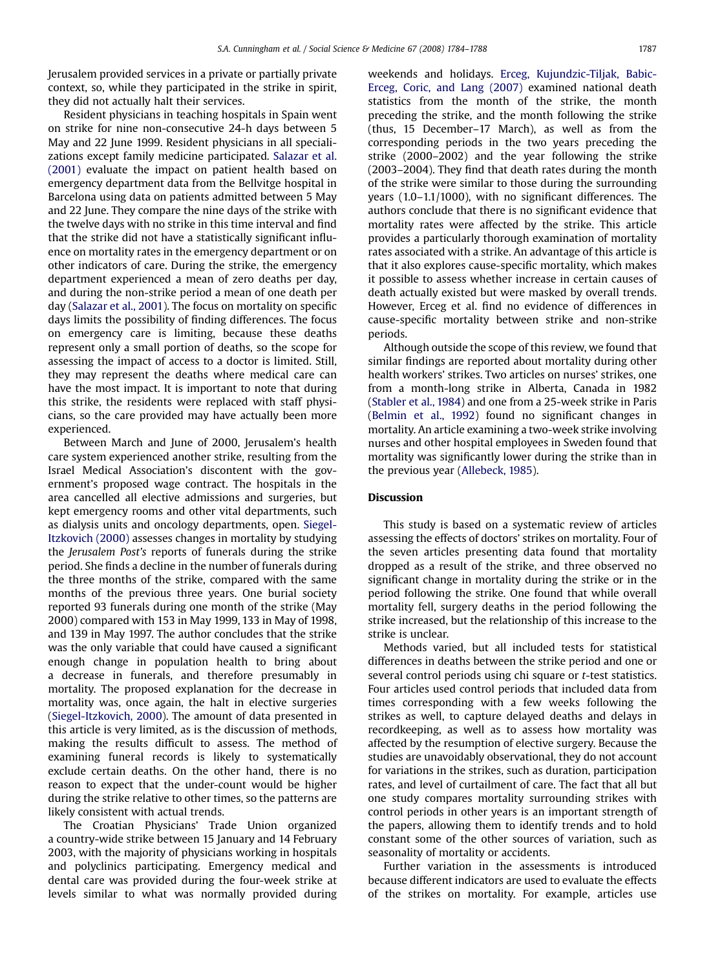Jerusalem provided services in a private or partially private context, so, while they participated in the strike in spirit, they did not actually halt their services.

Resident physicians in teaching hospitals in Spain went on strike for nine non-consecutive 24-h days between 5 May and 22 June 1999. Resident physicians in all specializations except family medicine participated. [Salazar et al.](#page-4-0) [\(2001\)](#page-4-0) evaluate the impact on patient health based on emergency department data from the Bellvitge hospital in Barcelona using data on patients admitted between 5 May and 22 June. They compare the nine days of the strike with the twelve days with no strike in this time interval and find that the strike did not have a statistically significant influence on mortality rates in the emergency department or on other indicators of care. During the strike, the emergency department experienced a mean of zero deaths per day, and during the non-strike period a mean of one death per day [\(Salazar et al., 2001\)](#page-4-0). The focus on mortality on specific days limits the possibility of finding differences. The focus on emergency care is limiting, because these deaths represent only a small portion of deaths, so the scope for assessing the impact of access to a doctor is limited. Still, they may represent the deaths where medical care can have the most impact. It is important to note that during this strike, the residents were replaced with staff physicians, so the care provided may have actually been more experienced.

Between March and June of 2000, Jerusalem's health care system experienced another strike, resulting from the Israel Medical Association's discontent with the government's proposed wage contract. The hospitals in the area cancelled all elective admissions and surgeries, but kept emergency rooms and other vital departments, such as dialysis units and oncology departments, open. [Siegel-](#page-4-0)[Itzkovich \(2000\)](#page-4-0) assesses changes in mortality by studying the Jerusalem Post's reports of funerals during the strike period. She finds a decline in the number of funerals during the three months of the strike, compared with the same months of the previous three years. One burial society reported 93 funerals during one month of the strike (May 2000) compared with 153 in May 1999, 133 in May of 1998, and 139 in May 1997. The author concludes that the strike was the only variable that could have caused a significant enough change in population health to bring about a decrease in funerals, and therefore presumably in mortality. The proposed explanation for the decrease in mortality was, once again, the halt in elective surgeries ([Siegel-Itzkovich, 2000](#page-4-0)). The amount of data presented in this article is very limited, as is the discussion of methods, making the results difficult to assess. The method of examining funeral records is likely to systematically exclude certain deaths. On the other hand, there is no reason to expect that the under-count would be higher during the strike relative to other times, so the patterns are likely consistent with actual trends.

The Croatian Physicians' Trade Union organized a country-wide strike between 15 January and 14 February 2003, with the majority of physicians working in hospitals and polyclinics participating. Emergency medical and dental care was provided during the four-week strike at levels similar to what was normally provided during weekends and holidays. [Erceg, Kujundzic-Tiljak, Babic-](#page-4-0)[Erceg, Coric, and Lang \(2007\)](#page-4-0) examined national death statistics from the month of the strike, the month preceding the strike, and the month following the strike (thus, 15 December–17 March), as well as from the corresponding periods in the two years preceding the strike (2000–2002) and the year following the strike (2003–2004). They find that death rates during the month of the strike were similar to those during the surrounding years (1.0–1.1/1000), with no significant differences. The authors conclude that there is no significant evidence that mortality rates were affected by the strike. This article provides a particularly thorough examination of mortality rates associated with a strike. An advantage of this article is that it also explores cause-specific mortality, which makes it possible to assess whether increase in certain causes of death actually existed but were masked by overall trends. However, Erceg et al. find no evidence of differences in cause-specific mortality between strike and non-strike periods.

Although outside the scope of this review, we found that similar findings are reported about mortality during other health workers' strikes. Two articles on nurses' strikes, one from a month-long strike in Alberta, Canada in 1982 ([Stabler et al., 1984\)](#page-4-0) and one from a 25-week strike in Paris ([Belmin et al., 1992\)](#page-4-0) found no significant changes in mortality. An article examining a two-week strike involving nurses and other hospital employees in Sweden found that mortality was significantly lower during the strike than in the previous year ([Allebeck, 1985\)](#page-4-0).

#### Discussion

This study is based on a systematic review of articles assessing the effects of doctors' strikes on mortality. Four of the seven articles presenting data found that mortality dropped as a result of the strike, and three observed no significant change in mortality during the strike or in the period following the strike. One found that while overall mortality fell, surgery deaths in the period following the strike increased, but the relationship of this increase to the strike is unclear.

Methods varied, but all included tests for statistical differences in deaths between the strike period and one or several control periods using chi square or t-test statistics. Four articles used control periods that included data from times corresponding with a few weeks following the strikes as well, to capture delayed deaths and delays in recordkeeping, as well as to assess how mortality was affected by the resumption of elective surgery. Because the studies are unavoidably observational, they do not account for variations in the strikes, such as duration, participation rates, and level of curtailment of care. The fact that all but one study compares mortality surrounding strikes with control periods in other years is an important strength of the papers, allowing them to identify trends and to hold constant some of the other sources of variation, such as seasonality of mortality or accidents.

Further variation in the assessments is introduced because different indicators are used to evaluate the effects of the strikes on mortality. For example, articles use